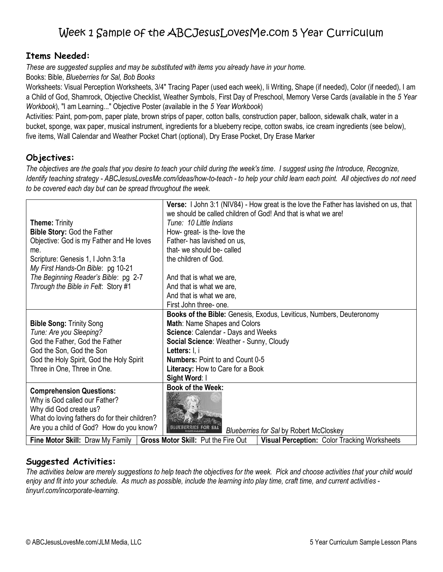## **Items Needed:**

*These are suggested supplies and may be substituted with items you already have in your home.*

Books: Bible, *Blueberries for Sal, Bob Books*

Worksheets: Visual Perception Worksheets, 3/4" Tracing Paper (used each week), Ii Writing, Shape (if needed), Color (if needed), I am a Child of God, Shamrock, Objective Checklist, Weather Symbols, First Day of Preschool, Memory Verse Cards (available in the *5 Year Workbook*), "I am Learning..." Objective Poster (available in the *5 Year Workbook*)

Activities: Paint, pom-pom, paper plate, brown strips of paper, cotton balls, construction paper, balloon, sidewalk chalk, water in a bucket, sponge, wax paper, musical instrument, ingredients for a blueberry recipe, cotton swabs, ice cream ingredients (see below), five items, Wall Calendar and Weather Pocket Chart (optional), Dry Erase Pocket, Dry Erase Marker

## **Objectives:**

*The objectives are the goals that you desire to teach your child during the week's time. I suggest using the Introduce, Recognize, Identify teaching strategy - ABCJesusLovesMe.com/ideas/how-to-teach - to help your child learn each point. All objectives do not need to be covered each day but can be spread throughout the week.*

| <b>Theme: Trinity</b><br><b>Bible Story: God the Father</b><br>Objective: God is my Father and He loves<br>me.<br>Scripture: Genesis 1, I John 3:1a<br>My First Hands-On Bible: pg 10-21<br>The Beginning Reader's Bible: pg 2-7<br>Through the Bible in Felt: Story #1 | Verse: I John 3:1 (NIV84) - How great is the love the Father has lavished on us, that<br>we should be called children of God! And that is what we are!<br>Tune: 10 Little Indians<br>How- great- is the- love the<br>Father- has lavished on us,<br>that- we should be- called<br>the children of God.<br>And that is what we are,<br>And that is what we are,<br>And that is what we are,<br>First John three- one. |  |  |  |  |
|-------------------------------------------------------------------------------------------------------------------------------------------------------------------------------------------------------------------------------------------------------------------------|----------------------------------------------------------------------------------------------------------------------------------------------------------------------------------------------------------------------------------------------------------------------------------------------------------------------------------------------------------------------------------------------------------------------|--|--|--|--|
| <b>Bible Song: Trinity Song</b><br>Tune: Are you Sleeping?<br>God the Father, God the Father<br>God the Son, God the Son<br>God the Holy Spirit, God the Holy Spirit<br>Three in One, Three in One.                                                                     | Books of the Bible: Genesis, Exodus, Leviticus, Numbers, Deuteronomy<br>Math: Name Shapes and Colors<br>Science: Calendar - Days and Weeks<br>Social Science: Weather - Sunny, Cloudy<br>Letters: I, i<br><b>Numbers: Point to and Count 0-5</b><br>Literacy: How to Care for a Book<br>Sight Word: I                                                                                                                |  |  |  |  |
| <b>Comprehension Questions:</b><br>Why is God called our Father?<br>Why did God create us?<br>What do loving fathers do for their children?<br>Are you a child of God? How do you know?                                                                                 | <b>Book of the Week:</b><br><b>Blueberries for Sal by Robert McCloskey</b>                                                                                                                                                                                                                                                                                                                                           |  |  |  |  |
| Fine Motor Skill: Draw My Family                                                                                                                                                                                                                                        | Gross Motor Skill: Put the Fire Out<br><b>Visual Perception: Color Tracking Worksheets</b>                                                                                                                                                                                                                                                                                                                           |  |  |  |  |

## **Suggested Activities:**

*The activities below are merely suggestions to help teach the objectives for the week. Pick and choose activities that your child would enjoy and fit into your schedule. As much as possible, include the learning into play time, craft time, and current activities tinyurl.com/incorporate-learning.*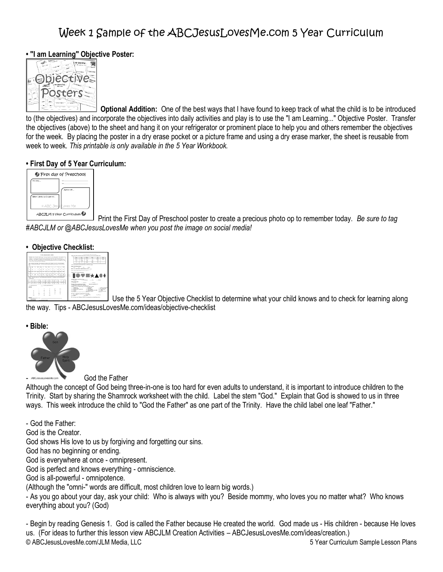## **• "I am Learning" Objective Poster:**



**Optional Addition:** One of the best ways that I have found to keep track of what the child is to be introduced to (the objectives) and incorporate the objectives into daily activities and play is to use the "I am Learning..." Objective Poster. Transfer the objectives (above) to the sheet and hang it on your refrigerator or prominent place to help you and others remember the objectives for the week. By placing the poster in a dry erase pocket or a picture frame and using a dry erase marker, the sheet is reusable from week to week. *This printable is only available in the 5 Year Workbook.*

### **• First Day of 5 Year Curriculum:**



Print the First Day of Preschool poster to create a precious photo op to remember today. *Be sure to tag #ABCJLM or @ABCJesusLovesMe when you post the image on social media!* 

### **• Objective Checklist:**

| <b>A LOS CORRADO CAMERA, CORRA</b><br>states and control to the control of the control of the control of the control of the control of<br>a second three books of the control of the control of the control of the con-<br>allows: 1993 West Anna 1994 Waller and March 1995 Waller and Company and<br><b>FOR THE CASE OF CHARACTER ENTER ENTERTAINMENT OF CHARACTER IN 1999</b><br>the second main procedure registing |                 |   |                          |   |        |                                 |    |   |                                                                                     |   | <b>LINE RATIONAL BALLAS BURGE</b><br><b>DOE: THE START WAS NOT THE REPORT OF THE REPORTED HIS CARD CARD CARD .</b><br>$\sim$<br><b>SALE</b><br><b>STATE</b><br><b>STAR</b><br>$\sim$<br>۰<br>$\sim$<br><b>CALLS</b><br><b>START</b><br>÷<br>÷<br>۰<br>÷<br>w<br>-<br><b>Total</b> |                                         |                                                                                                                    |
|-------------------------------------------------------------------------------------------------------------------------------------------------------------------------------------------------------------------------------------------------------------------------------------------------------------------------------------------------------------------------------------------------------------------------|-----------------|---|--------------------------|---|--------|---------------------------------|----|---|-------------------------------------------------------------------------------------|---|-----------------------------------------------------------------------------------------------------------------------------------------------------------------------------------------------------------------------------------------------------------------------------------|-----------------------------------------|--------------------------------------------------------------------------------------------------------------------|
| THE TAXABLE EXPLORATION CONTINUES IN A 49YO F.<br>w.                                                                                                                                                                                                                                                                                                                                                                    |                 |   |                          |   |        |                                 |    |   |                                                                                     |   |                                                                                                                                                                                                                                                                                   | THEN ARE WELL FOR A CHARACTER WITH COM- |                                                                                                                    |
|                                                                                                                                                                                                                                                                                                                                                                                                                         |                 |   |                          |   |        |                                 |    |   |                                                                                     |   |                                                                                                                                                                                                                                                                                   |                                         | -----------<br>the transport of the control and the                                                                |
| ×                                                                                                                                                                                                                                                                                                                                                                                                                       | ×               |   |                          | ٠ |        |                                 | Y. |   |                                                                                     | × |                                                                                                                                                                                                                                                                                   | $\sim$                                  | <b>BAL COLORED ENGINEERING AND COMPANY</b>                                                                         |
|                                                                                                                                                                                                                                                                                                                                                                                                                         |                 |   |                          |   |        |                                 |    |   |                                                                                     |   |                                                                                                                                                                                                                                                                                   | $\sim$                                  | THE TREASURY BANK CARACTER IN 1997                                                                                 |
| m                                                                                                                                                                                                                                                                                                                                                                                                                       | ≂               |   | n                        | Ξ |        |                                 |    |   | v.                                                                                  |   |                                                                                                                                                                                                                                                                                   |                                         | bearing from the company and                                                                                       |
| ×                                                                                                                                                                                                                                                                                                                                                                                                                       | Ŧ               | v |                          |   | m      |                                 |    | z | ×                                                                                   | ٠ |                                                                                                                                                                                                                                                                                   | ÷                                       | 学園★▲●◆                                                                                                             |
| being the best back and the control of the present process for the present control of the present<br><b>CONTRACTOR</b><br>a los excepciones a<br>The Corporation<br>THE CONTRACT OF RESIDENCE AND RELEASED FOR A<br><b>TAXABLE</b><br>--<br><b>Bank</b>                                                                                                                                                                 |                 |   |                          |   |        |                                 |    |   |                                                                                     |   |                                                                                                                                                                                                                                                                                   |                                         |                                                                                                                    |
| hetebologiyateledezteledeztelerindekirinde mindad                                                                                                                                                                                                                                                                                                                                                                       |                 |   |                          |   |        |                                 |    |   | Public Printings<br>--<br><b>All old</b><br><b>You</b><br>To discuss process in the |   |                                                                                                                                                                                                                                                                                   |                                         |                                                                                                                    |
| <b>CONTRACTOR</b>                                                                                                                                                                                                                                                                                                                                                                                                       |                 |   |                          |   |        | and the state of the company of |    |   |                                                                                     |   |                                                                                                                                                                                                                                                                                   |                                         | Capacity. This as anywhere a new factory.<br>LO BARBA IN By INTO A BRIGHT                                          |
| -                                                                                                                                                                                                                                                                                                                                                                                                                       |                 |   |                          |   |        |                                 |    |   |                                                                                     |   |                                                                                                                                                                                                                                                                                   |                                         | THREE CLUB IN CONTRACTOR CREATIVE IN A 1990.<br>contract from<br>- Affaring<br>- afternoon                         |
|                                                                                                                                                                                                                                                                                                                                                                                                                         |                 |   |                          |   | ÷      |                                 |    |   |                                                                                     |   | $\sim$                                                                                                                                                                                                                                                                            |                                         | <b>Convey one</b><br>$ -$<br>and the process can<br>Contractor<br><b>Service Ser</b><br>and the conduct commercial |
|                                                                                                                                                                                                                                                                                                                                                                                                                         | $\sim$          |   |                          |   | $\sim$ |                                 | ٠  |   |                                                                                     |   |                                                                                                                                                                                                                                                                                   |                                         | <b>CONTRACTOR</b><br>THE RESIDENCE OF A REAL<br>$ -$<br>$ -$<br><b>COLOR AVAILABLE</b><br><b>CONTRACTOR</b>        |
|                                                                                                                                                                                                                                                                                                                                                                                                                         | ×               |   |                          |   | ×      |                                 | ٠  |   | ٠                                                                                   |   |                                                                                                                                                                                                                                                                                   |                                         | Tachet class what provide the best of<br>÷                                                                         |
|                                                                                                                                                                                                                                                                                                                                                                                                                         | ۰               |   | --                       |   | $\sim$ |                                 | ٠  |   | ×                                                                                   |   | <b>Sept.</b>                                                                                                                                                                                                                                                                      |                                         | the Mill Transferênce and color in their appr<br><b>Search Avenue</b><br><b>Ladiente</b><br>The track Mile         |
|                                                                                                                                                                                                                                                                                                                                                                                                                         | <b>Security</b> |   | ٠                        |   | $\sim$ |                                 | 14 |   |                                                                                     |   |                                                                                                                                                                                                                                                                                   |                                         | $-$<br>$-$                                                                                                         |
| <b>Science</b>                                                                                                                                                                                                                                                                                                                                                                                                          |                 |   | <b>Contract Contract</b> |   |        |                                 |    |   |                                                                                     |   |                                                                                                                                                                                                                                                                                   |                                         | the continues and behaviors from the transport process that there are then                                         |

Use the 5 Year Objective Checklist to determine what your child knows and to check for learning along the way. Tips - ABCJesusLovesMe.com/ideas/objective-checklist

**• Bible:**



God the Father

Although the concept of God being three-in-one is too hard for even adults to understand, it is important to introduce children to the Trinity. Start by sharing the Shamrock worksheet with the child. Label the stem "God." Explain that God is showed to us in three ways. This week introduce the child to "God the Father" as one part of the Trinity. Have the child label one leaf "Father."

- God the Father: God is the Creator. God shows His love to us by forgiving and forgetting our sins. God has no beginning or ending. God is everywhere at once - omnipresent. God is perfect and knows everything - omniscience. God is all-powerful - omnipotence. (Although the "omni-" words are difficult, most children love to learn big words.) - As you go about your day, ask your child: Who is always with you? Beside mommy, who loves you no matter what? Who knows everything about you? (God)

© ABCJesusLovesMe.com/JLM Media, LLC 5 Year Curriculum Sample Lesson Plans - Begin by reading Genesis 1. God is called the Father because He created the world. God made us - His children - because He loves us. (For ideas to further this lesson view ABCJLM Creation Activities – ABCJesusLovesMe.com/ideas/creation.)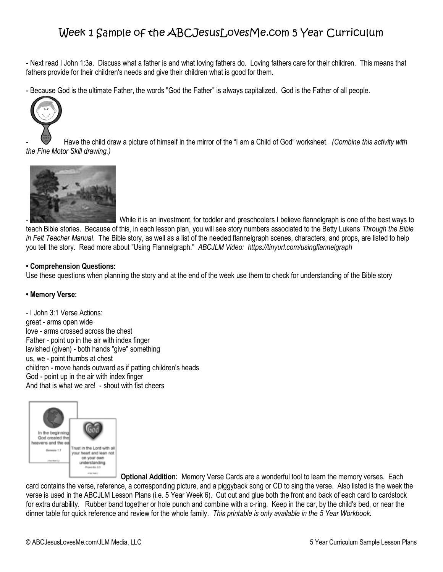- Next read I John 1:3a. Discuss what a father is and what loving fathers do. Loving fathers care for their children. This means that fathers provide for their children's needs and give their children what is good for them.

- Because God is the ultimate Father, the words "God the Father" is always capitalized. God is the Father of all people.



- Have the child draw a picture of himself in the mirror of the "I am a Child of God" worksheet. *(Combine this activity with the Fine Motor Skill drawing.)*



While it is an investment, for toddler and preschoolers I believe flannelgraph is one of the best ways to teach Bible stories. Because of this, in each lesson plan, you will see story numbers associated to the Betty Lukens *Through the Bible in Felt Teacher Manual*. The Bible story, as well as a list of the needed flannelgraph scenes, characters, and props, are listed to help you tell the story. Read more about "Using Flannelgraph." *ABCJLM Video: https://tinyurl.com/usingflannelgraph*

#### **• Comprehension Questions:**

Use these questions when planning the story and at the end of the week use them to check for understanding of the Bible story

### **• Memory Verse:**

- I John 3:1 Verse Actions: great - arms open wide love - arms crossed across the chest Father - point up in the air with index finger lavished (given) - both hands "give" something us, we - point thumbs at chest children - move hands outward as if patting children's heads God - point up in the air with index finger And that is what we are! - shout with fist cheers



**Optional Addition:** Memory Verse Cards are a wonderful tool to learn the memory verses. Each

card contains the verse, reference, a corresponding picture, and a piggyback song or CD to sing the verse. Also listed is the week the verse is used in the ABCJLM Lesson Plans (i.e. 5 Year Week 6). Cut out and glue both the front and back of each card to cardstock for extra durability. Rubber band together or hole punch and combine with a c-ring. Keep in the car, by the child's bed, or near the dinner table for quick reference and review for the whole family*. This printable is only available in the 5 Year Workbook.*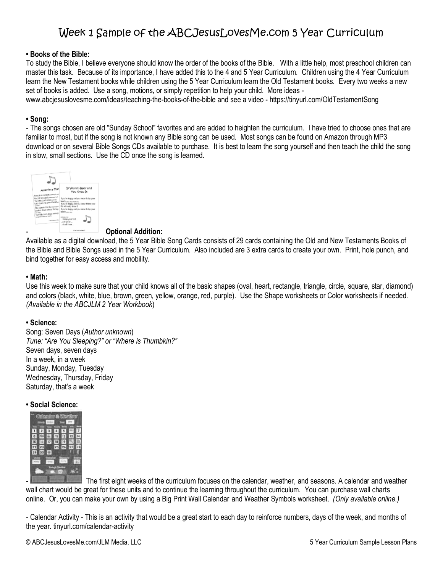#### **• Books of the Bible:**

To study the Bible, I believe everyone should know the order of the books of the Bible. With a little help, most preschool children can master this task. Because of its importance, I have added this to the 4 and 5 Year Curriculum. Children using the 4 Year Curriculum learn the New Testament books while children using the 5 Year Curriculum learn the Old Testament books. Every two weeks a new set of books is added. Use a song, motions, or simply repetition to help your child. More ideas -

www.abcjesuslovesme.com/ideas/teaching-the-books-of-the-bible and see a video - https://tinyurl.com/OldTestamentSong

#### **• Song:**

- The songs chosen are old "Sunday School" favorites and are added to heighten the curriculum. I have tried to choose ones that are familiar to most, but if the song is not known any Bible song can be used. Most songs can be found on Amazon through MP3 download or on several Bible Songs CDs available to purchase. It is best to learn the song yourself and then teach the child the song in slow, small sections. Use the CD once the song is learned.



#### - **Optional Addition:**

Available as a digital download, the 5 Year Bible Song Cards consists of 29 cards containing the Old and New Testaments Books of the Bible and Bible Songs used in the 5 Year Curriculum. Also included are 3 extra cards to create your own. Print, hole punch, and bind together for easy access and mobility.

#### **• Math:**

Use this week to make sure that your child knows all of the basic shapes (oval, heart, rectangle, triangle, circle, square, star, diamond) and colors (black, white, blue, brown, green, yellow, orange, red, purple). Use the Shape worksheets or Color worksheets if needed. *(Available in the ABCJLM 2 Year Workbook*)

#### **• Science:**

Song: Seven Days (*Author unknown*) *Tune: "Are You Sleeping?" or "Where is Thumbkin?"* Seven days, seven days In a week, in a week Sunday, Monday, Tuesday Wednesday, Thursday, Friday Saturday, that's a week

#### **• Social Science:**



-The first eight weeks of the curriculum focuses on the calendar, weather, and seasons. A calendar and weather wall chart would be great for these units and to continue the learning throughout the curriculum. You can purchase wall charts online. Or, you can make your own by using a Big Print Wall Calendar and Weather Symbols worksheet. *(Only available online.)*

- Calendar Activity - This is an activity that would be a great start to each day to reinforce numbers, days of the week, and months of the year. tinyurl.com/calendar-activity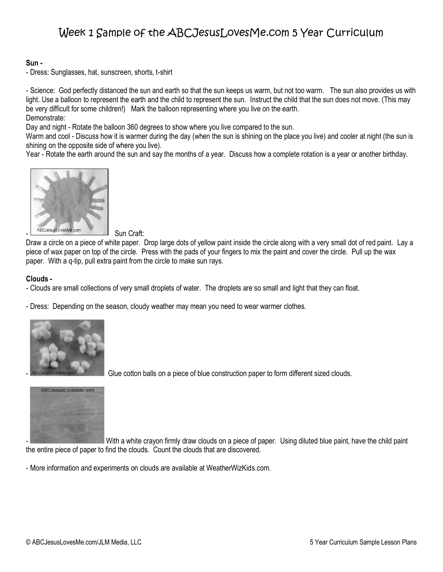### **Sun -**

- Dress: Sunglasses, hat, sunscreen, shorts, t-shirt

- Science: God perfectly distanced the sun and earth so that the sun keeps us warm, but not too warm. The sun also provides us with light. Use a balloon to represent the earth and the child to represent the sun. Instruct the child that the sun does not move. (This may be very difficult for some children!) Mark the balloon representing where you live on the earth. Demonstrate:

Day and night - Rotate the balloon 360 degrees to show where you live compared to the sun.

Warm and cool - Discuss how it is warmer during the day (when the sun is shining on the place you live) and cooler at night (the sun is shining on the opposite side of where you live).

Year - Rotate the earth around the sun and say the months of a year. Discuss how a complete rotation is a year or another birthday.



Draw a circle on a piece of white paper. Drop large dots of yellow paint inside the circle along with a very small dot of red paint. Lay a piece of wax paper on top of the circle. Press with the pads of your fingers to mix the paint and cover the circle. Pull up the wax paper. With a q-tip, pull extra paint from the circle to make sun rays.

### **Clouds -**

- Clouds are small collections of very small droplets of water. The droplets are so small and light that they can float.
- Dress: Depending on the season, cloudy weather may mean you need to wear warmer clothes.



Glue cotton balls on a piece of blue construction paper to form different sized clouds.



With a white crayon firmly draw clouds on a piece of paper. Using diluted blue paint, have the child paint the entire piece of paper to find the clouds. Count the clouds that are discovered.

- More information and experiments on clouds are available at WeatherWizKids.com.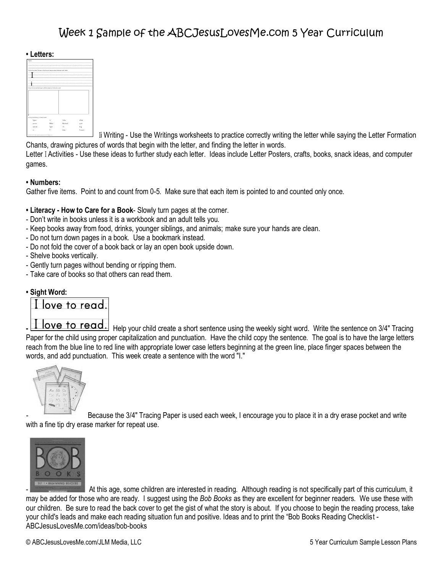#### **• Letters:**



 Ii Writing - Use the Writings worksheets to practice correctly writing the letter while saying the Letter Formation Chants, drawing pictures of words that begin with the letter, and finding the letter in words.

Letter I Activities - Use these ideas to further study each letter. Ideas include Letter Posters, crafts, books, snack ideas, and computer games.

#### **• Numbers:**

Gather five items. Point to and count from 0-5. Make sure that each item is pointed to and counted only once.

- **• Literacy - How to Care for a Book** Slowly turn pages at the corner.
- Don't write in books unless it is a workbook and an adult tells you.
- Keep books away from food, drinks, younger siblings, and animals; make sure your hands are clean.
- Do not turn down pages in a book. Use a bookmark instead.
- Do not fold the cover of a book back or lay an open book upside down.
- Shelve books vertically.
- Gently turn pages without bending or ripping them.
- Take care of books so that others can read them.

### **• Sight Word:**



**I** love to read. Help your child create a short sentence using the weekly sight word. Write the sentence on 3/4" Tracing Paper for the child using proper capitalization and punctuation. Have the child copy the sentence. The goal is to have the large letters reach from the blue line to red line with appropriate lower case letters beginning at the green line, place finger spaces between the words, and add punctuation. This week create a sentence with the word "I."



*-* [B](http://www.amazon.com/gp/product/B002RUG8WU/ref=as_li_ss_il?ie=UTF8&linkCode=li2&tag=abjelome-20&linkId=05b2bd8407cebd8b628fc10432f1c16f)ecause the 3/4" Tracing Paper is used each week, I encourage you to place it in a dry erase pocket and write with a fine tip dry erase marker for repeat use.



-At this age, some children are interested in reading. Although reading is not specifically part of this curriculum, it may be added for those who are ready. I suggest using the *Bob Books* as they are excellent for beginner readers. We use these with our children. Be sure to read the back cover to get the gist of what the story is about. If you choose to begin the reading process, take your child's leads and make each reading situation fun and positive. Ideas and to print the "Bob Books Reading Checklist - ABCJesusLovesMe.com/ideas/bob-books

© ABCJesusLovesMe.com/JLM Media, LLC 5 Year Curriculum Sample Lesson Plans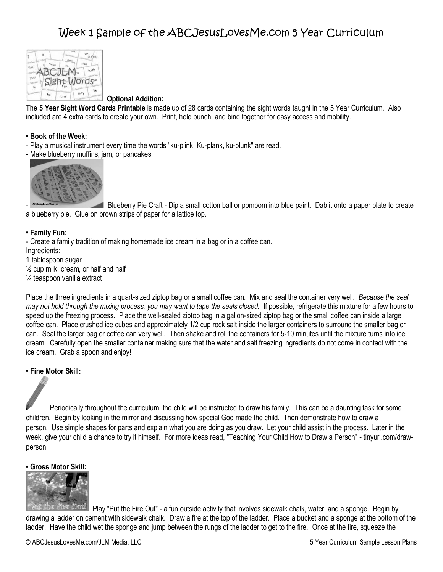

### **Optional Addition:**

The **5 Year Sight Word Cards Printable** is made up of 28 cards containing the sight words taught in the 5 Year Curriculum. Also included are 4 extra cards to create your own. Print, hole punch, and bind together for easy access and mobility.

#### **• Book of the Week:**

- Play a musical instrument every time the words "ku-plink, Ku-plank, ku-plunk" are read.
- Make blueberry muffins, jam, or pancakes.



- Blueberry Pie Craft - Dip a small cotton ball or pompom into blue paint. Dab it onto a paper plate to create a blueberry pie. Glue on brown strips of paper for a lattice top.

### **• Family Fun:**

- Create a family tradition of making homemade ice cream in a bag or in a coffee can. Ingredients:

1 tablespoon sugar  $\frac{1}{2}$  cup milk, cream, or half and half ¼ teaspoon vanilla extract

Place the three ingredients in a quart-sized ziptop bag or a small coffee can. Mix and seal the container very well. *Because the seal may not hold through the mixing process, you may want to tape the seals closed.* If possible, refrigerate this mixture for a few hours to speed up the freezing process. Place the well-sealed ziptop bag in a gallon-sized ziptop bag or the small coffee can inside a large coffee can. Place crushed ice cubes and approximately 1/2 cup rock salt inside the larger containers to surround the smaller bag or can. Seal the larger bag or coffee can very well. Then shake and roll the containers for 5-10 minutes until the mixture turns into ice cream. Carefully open the smaller container making sure that the water and salt freezing ingredients do not come in contact with the ice cream. Grab a spoon and enjoy!

### **• Fine Motor Skill:**

Periodically throughout the curriculum, the child will be instructed to draw his family. This can be a daunting task for some children. Begin by looking in the mirror and discussing how special God made the child. Then demonstrate how to draw a person. Use simple shapes for parts and explain what you are doing as you draw. Let your child assist in the process. Later in the week, give your child a chance to try it himself. For more ideas read, "Teaching Your Child How to Draw a Person" - tinyurl.com/drawperson

### **• Gross Motor Skill:**



Play "Put the Fire Out" - a fun outside activity that involves sidewalk chalk, water, and a sponge. Begin by drawing a ladder on cement with sidewalk chalk. Draw a fire at the top of the ladder. Place a bucket and a sponge at the bottom of the ladder. Have the child wet the sponge and jump between the rungs of the ladder to get to the fire. Once at the fire, squeeze the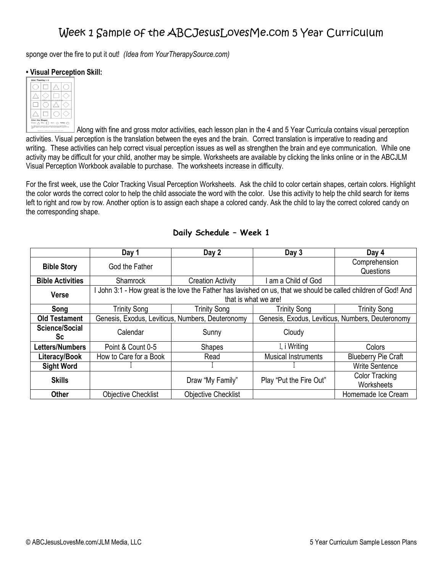sponge over the fire to put it out! *(Idea from YourTherapySource.com)*

### **• Visual Perception Skill:**



Along with fine and gross motor activities, each lesson plan in the 4 and 5 Year Curricula contains visual perception activities. Visual perception is the translation between the eyes and the brain. Correct translation is imperative to reading and writing. These activities can help correct visual perception issues as well as strengthen the brain and eye communication. While one activity may be difficult for your child, another may be simple. Worksheets are available by clicking the links online or in the ABCJLM Visual Perception Workbook available to purchase. The worksheets increase in difficulty.

For the first week, use the Color Tracking Visual Perception Worksheets. Ask the child to color certain shapes, certain colors. Highlight the color words the correct color to help the child associate the word with the color. Use this activity to help the child search for items left to right and row by row. Another option is to assign each shape a colored candy. Ask the child to lay the correct colored candy on the corresponding shape.

|                         | Day 1                                                                                                           | Day 2                                            | Day 3                      | Day 4                      |  |  |  |  |  |  |
|-------------------------|-----------------------------------------------------------------------------------------------------------------|--------------------------------------------------|----------------------------|----------------------------|--|--|--|--|--|--|
| <b>Bible Story</b>      | God the Father                                                                                                  |                                                  |                            | Comprehension              |  |  |  |  |  |  |
|                         |                                                                                                                 |                                                  |                            | Questions                  |  |  |  |  |  |  |
| <b>Bible Activities</b> | Shamrock                                                                                                        | <b>Creation Activity</b>                         | am a Child of God          |                            |  |  |  |  |  |  |
| <b>Verse</b>            | I John 3:1 - How great is the love the Father has lavished on us, that we should be called children of God! And |                                                  |                            |                            |  |  |  |  |  |  |
|                         | that is what we are!                                                                                            |                                                  |                            |                            |  |  |  |  |  |  |
| Song                    | <b>Trinity Song</b>                                                                                             | <b>Trinity Song</b>                              | <b>Trinity Song</b>        | Trinity Song               |  |  |  |  |  |  |
| <b>Old Testament</b>    | Genesis, Exodus, Leviticus, Numbers, Deuteronomy                                                                | Genesis, Exodus, Leviticus, Numbers, Deuteronomy |                            |                            |  |  |  |  |  |  |
| Science/Social<br>Sc.   | Calendar                                                                                                        | Sunny                                            | Cloudy                     |                            |  |  |  |  |  |  |
| Letters/Numbers         | Point & Count 0-5                                                                                               | Shapes                                           | I, i Writing               | Colors                     |  |  |  |  |  |  |
| Literacy/Book           | How to Care for a Book                                                                                          | Read                                             | <b>Musical Instruments</b> | <b>Blueberry Pie Craft</b> |  |  |  |  |  |  |
| <b>Sight Word</b>       |                                                                                                                 |                                                  |                            | <b>Write Sentence</b>      |  |  |  |  |  |  |
| <b>Skills</b>           |                                                                                                                 |                                                  | Play "Put the Fire Out"    | <b>Color Tracking</b>      |  |  |  |  |  |  |
|                         |                                                                                                                 | Draw "My Family"                                 |                            | Worksheets                 |  |  |  |  |  |  |
| <b>Other</b>            | <b>Objective Checklist</b>                                                                                      | <b>Objective Checklist</b>                       |                            | Homemade Ice Cream         |  |  |  |  |  |  |

### **Daily Schedule – Week 1**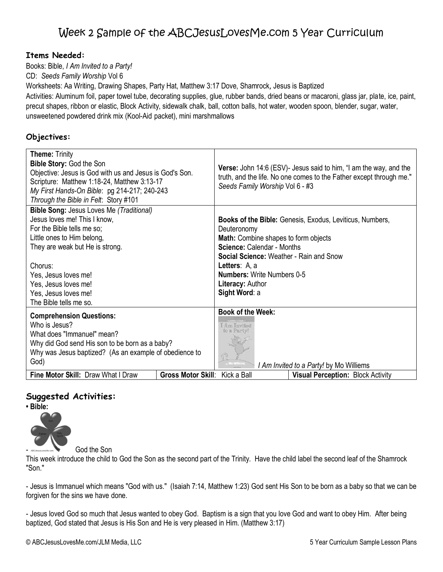### **Items Needed:**

Books: Bible, *I Am Invited to a Party!*

CD: *Seeds Family Worship* Vol 6

Worksheets: Aa Writing, Drawing Shapes, Party Hat, Matthew 3:17 Dove, Shamrock, Jesus is Baptized

Activities: Aluminum foil, paper towel tube, decorating supplies, glue, rubber bands, dried beans or macaroni, glass jar, plate, ice, paint, precut shapes, ribbon or elastic, Block Activity, sidewalk chalk, ball, cotton balls, hot water, wooden spoon, blender, sugar, water, unsweetened powdered drink mix (Kool-Aid packet), mini marshmallows

## **Objectives:**

| <b>Theme: Trinity</b><br><b>Bible Story: God the Son</b><br>Objective: Jesus is God with us and Jesus is God's Son.<br>Scripture: Matthew 1:18-24, Matthew 3:13-17<br>My First Hands-On Bible: pg 214-217; 240-243<br>Through the Bible in Felt: Story #101                                 |                           | <b>Verse:</b> John 14:6 (ESV)- Jesus said to him, "I am the way, and the<br>truth, and the life. No one comes to the Father except through me."<br>Seeds Family Worship Vol 6 - #3                                                                                                                              |
|---------------------------------------------------------------------------------------------------------------------------------------------------------------------------------------------------------------------------------------------------------------------------------------------|---------------------------|-----------------------------------------------------------------------------------------------------------------------------------------------------------------------------------------------------------------------------------------------------------------------------------------------------------------|
| <b>Bible Song: Jesus Loves Me (Traditional)</b><br>Jesus loves me! This I know,<br>For the Bible tells me so:<br>Little ones to Him belong,<br>They are weak but He is strong.<br>Chorus:<br>Yes, Jesus loves me!<br>Yes, Jesus loves me!<br>Yes, Jesus loves me!<br>The Bible tells me so. |                           | <b>Books of the Bible:</b> Genesis, Exodus, Leviticus, Numbers,<br>Deuteronomy<br><b>Math:</b> Combine shapes to form objects<br><b>Science: Calendar - Months</b><br><b>Social Science: Weather - Rain and Snow</b><br>Letters: A, a<br><b>Numbers:</b> Write Numbers 0-5<br>Literacy: Author<br>Sight Word: a |
| <b>Comprehension Questions:</b><br>Who is Jesus?<br>What does "Immanuel" mean?<br>Why did God send His son to be born as a baby?<br>Why was Jesus baptized? (As an example of obedience to<br>God)<br>Fine Motor Skill: Draw What I Draw                                                    | <b>Gross Motor Skill:</b> | <b>Book of the Week:</b><br>I Am Invited<br>to a Party<br>I Am Invited to a Party! by Mo Williems<br>Kick a Ball<br><b>Visual Perception: Block Activity</b>                                                                                                                                                    |

## **Suggested Activities:**

**• Bible:**



God the Son

This week introduce the child to God the Son as the second part of the Trinity. Have the child label the second leaf of the Shamrock "Son."

- Jesus is Immanuel which means "God with us." (Isaiah 7:14, Matthew 1:23) God sent His Son to be born as a baby so that we can be forgiven for the sins we have done.

- Jesus loved God so much that Jesus wanted to obey God. Baptism is a sign that you love God and want to obey Him. After being baptized, God stated that Jesus is His Son and He is very pleased in Him. (Matthew 3:17)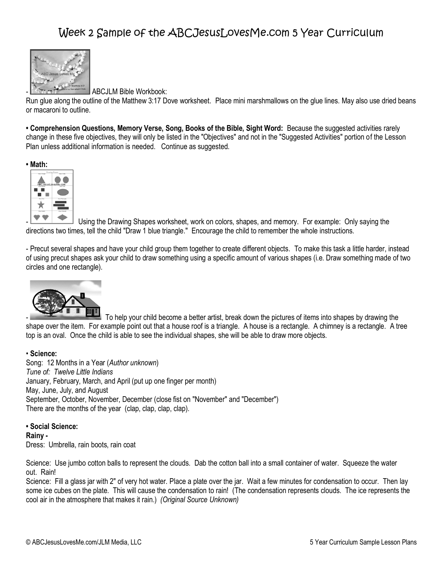

ABCJLM Bible Workbook:

Run glue along the outline of the Matthew 3:17 Dove worksheet. Place mini marshmallows on the glue lines. May also use dried beans or macaroni to outline.

**• Comprehension Questions, Memory Verse, Song, Books of the Bible, Sight Word:** Because the suggested activities rarely change in these five objectives, they will only be listed in the "Objectives" and not in the "Suggested Activities" portion of the Lesson Plan unless additional information is needed. Continue as suggested.





Using the Drawing Shapes worksheet, work on colors, shapes, and memory. For example: Only saying the directions two times, tell the child "Draw 1 blue triangle." Encourage the child to remember the whole instructions.

- Precut several shapes and have your child group them together to create different objects. To make this task a little harder, instead of using precut shapes ask your child to draw something using a specific amount of various shapes (i.e. Draw something made of two circles and one rectangle).



To help your child become a better artist, break down the pictures of items into shapes by drawing the shape over the item. For example point out that a house roof is a triangle. A house is a rectangle. A chimney is a rectangle. A tree top is an oval. Once the child is able to see the individual shapes, she will be able to draw more objects.

### • **Science:**

Song: 12 Months in a Year (*Author unknown*) *Tune of: Twelve Little Indians* January, February, March, and April (put up one finger per month) May, June, July, and August September, October, November, December (close fist on "November" and "December") There are the months of the year (clap, clap, clap, clap).

**• Social Science: Rainy -** Dress: Umbrella, rain boots, rain coat

Science: Use jumbo cotton balls to represent the clouds. Dab the cotton ball into a small container of water. Squeeze the water out. Rain!

Science: Fill a glass jar with 2" of very hot water. Place a plate over the jar. Wait a few minutes for condensation to occur. Then lay some ice cubes on the plate. This will cause the condensation to rain! (The condensation represents clouds. The ice represents the cool air in the atmosphere that makes it rain.) *(Original Source Unknown)*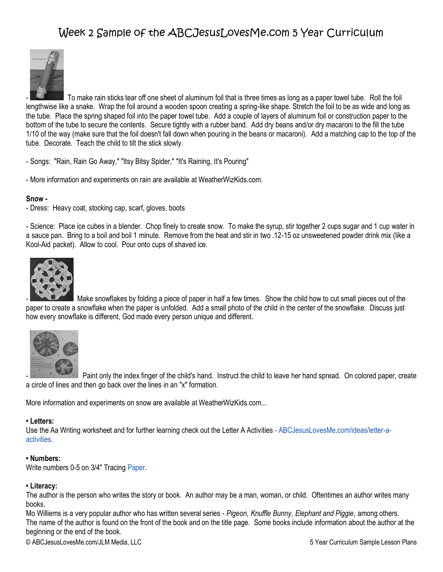

- To make rain sticks tear off one sheet of aluminum foil that is three times as long as a paper towel tube. Roll the foil lengthwise like a snake. Wrap the foil around a wooden spoon creating a spring-like shape. Stretch the foil to be as wide and long as the tube. Place the spring shaped foil into the paper towel tube. Add a couple of layers of aluminum foil or construction paper to the bottom of the tube to secure the contents. Secure tightly with a rubber band. Add dry beans and/or dry macaroni to the fill the tube 1/10 of the way (make sure that the foil doesn't fall down when pouring in the beans or macaroni). Add a matching cap to the top of the tube. Decorate. Teach the child to tilt the stick slowly.

- Songs: "Rain, Rain Go Away," "Itsy Bitsy Spider," "It's Raining, It's Pouring"
- More information and experiments on rain are available at WeatherWizKids.com.

#### **Snow -**

- Dress: Heavy coat, stocking cap, scarf, gloves, boots

- Science: Place ice cubes in a blender. Chop finely to create snow. To make the syrup, stir together 2 cups sugar and 1 cup water in a sauce pan. Bring to a boil and boil 1 minute. Remove from the heat and stir in two .12-15 oz unsweetened powder drink mix (like a Kool-Aid packet). Allow to cool. Pour onto cups of shaved ice.



Make snowflakes by folding a piece of paper in half a few times. Show the child how to cut small pieces out of the paper to create a snowflake when the paper is unfolded. Add a small photo of the child in the center of the snowflake. Discuss just how every snowflake is different, God made every person unique and different.



Paint only the index finger of the child's hand. Instruct the child to leave her hand spread. On colored paper, create a circle of lines and then go back over the lines in an "x" formation.

More information and experiments on snow are available at WeatherWizKids.com...

#### **• Letters:**

Use the Aa Writing worksheet and for further learning check out the Letter A Activities - ABCJesusLovesMe.com/ideas/letter-aactivities.

### **• Numbers:**

Write numbers 0-5 on 3/4" Tracing Paper.

#### **• Literacy:**

The author is the person who writes the story or book. An author may be a man, woman, or child. Oftentimes an author writes many books.

Mo Williems is a very popular author who has written several series - *Pigeon, Knuffle Bunny, Elephant and Piggie,* among others. The name of the author is found on the front of the book and on the title page. Some books include information about the author at the beginning or the end of the book.

© ABCJesusLovesMe.com/JLM Media, LLC 5 Year Curriculum Sample Lesson Plans